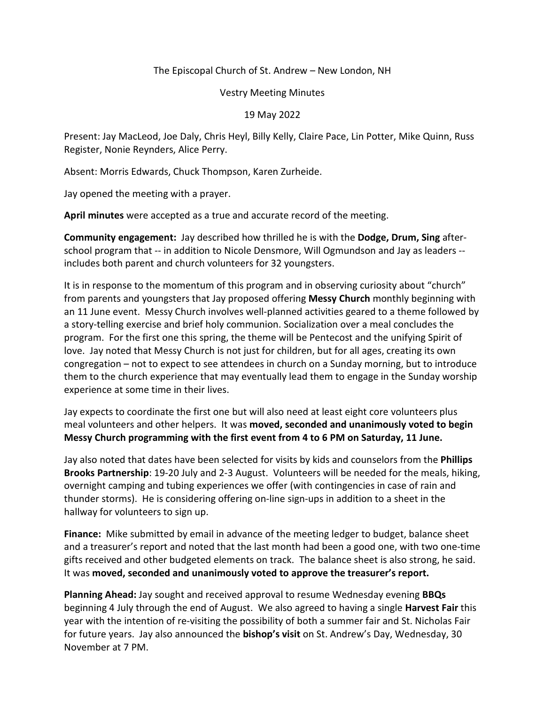## The Episcopal Church of St. Andrew – New London, NH

## Vestry Meeting Minutes

## 19 May 2022

Present: Jay MacLeod, Joe Daly, Chris Heyl, Billy Kelly, Claire Pace, Lin Potter, Mike Quinn, Russ Register, Nonie Reynders, Alice Perry.

Absent: Morris Edwards, Chuck Thompson, Karen Zurheide.

Jay opened the meeting with a prayer.

**April minutes** were accepted as a true and accurate record of the meeting.

**Community engagement:** Jay described how thrilled he is with the **Dodge, Drum, Sing** afterschool program that -- in addition to Nicole Densmore, Will Ogmundson and Jay as leaders - includes both parent and church volunteers for 32 youngsters.

It is in response to the momentum of this program and in observing curiosity about "church" from parents and youngsters that Jay proposed offering **Messy Church** monthly beginning with an 11 June event. Messy Church involves well-planned activities geared to a theme followed by a story-telling exercise and brief holy communion. Socialization over a meal concludes the program. For the first one this spring, the theme will be Pentecost and the unifying Spirit of love. Jay noted that Messy Church is not just for children, but for all ages, creating its own congregation – not to expect to see attendees in church on a Sunday morning, but to introduce them to the church experience that may eventually lead them to engage in the Sunday worship experience at some time in their lives.

Jay expects to coordinate the first one but will also need at least eight core volunteers plus meal volunteers and other helpers. It was **moved, seconded and unanimously voted to begin Messy Church programming with the first event from 4 to 6 PM on Saturday, 11 June.** 

Jay also noted that dates have been selected for visits by kids and counselors from the **Phillips Brooks Partnership**: 19-20 July and 2-3 August. Volunteers will be needed for the meals, hiking, overnight camping and tubing experiences we offer (with contingencies in case of rain and thunder storms). He is considering offering on-line sign-ups in addition to a sheet in the hallway for volunteers to sign up.

**Finance:** Mike submitted by email in advance of the meeting ledger to budget, balance sheet and a treasurer's report and noted that the last month had been a good one, with two one-time gifts received and other budgeted elements on track. The balance sheet is also strong, he said. It was **moved, seconded and unanimously voted to approve the treasurer's report.** 

**Planning Ahead:** Jay sought and received approval to resume Wednesday evening **BBQs**  beginning 4 July through the end of August. We also agreed to having a single **Harvest Fair** this year with the intention of re-visiting the possibility of both a summer fair and St. Nicholas Fair for future years. Jay also announced the **bishop's visit** on St. Andrew's Day, Wednesday, 30 November at 7 PM.